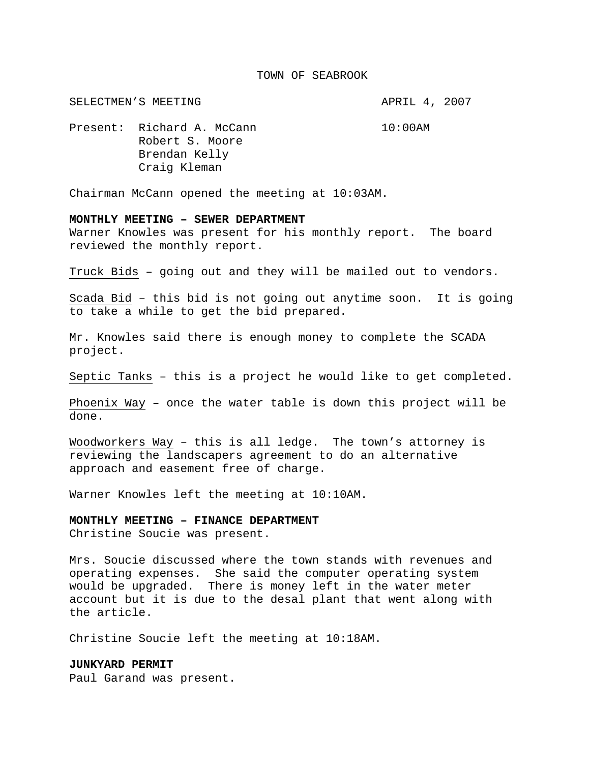#### TOWN OF SEABROOK

SELECTMEN'S MEETING **APRIL 4, 2007** 

Present: Richard A. McCann 10:00AM Robert S. Moore Brendan Kelly Craig Kleman

Chairman McCann opened the meeting at 10:03AM.

#### **MONTHLY MEETING – SEWER DEPARTMENT**

Warner Knowles was present for his monthly report. The board reviewed the monthly report.

Truck Bids – going out and they will be mailed out to vendors.

Scada Bid – this bid is not going out anytime soon. It is going to take a while to get the bid prepared.

Mr. Knowles said there is enough money to complete the SCADA project.

Septic Tanks – this is a project he would like to get completed.

Phoenix Way – once the water table is down this project will be done.

Woodworkers Way – this is all ledge. The town's attorney is reviewing the landscapers agreement to do an alternative approach and easement free of charge.

Warner Knowles left the meeting at 10:10AM.

#### **MONTHLY MEETING – FINANCE DEPARTMENT**

Christine Soucie was present.

Mrs. Soucie discussed where the town stands with revenues and operating expenses. She said the computer operating system would be upgraded. There is money left in the water meter account but it is due to the desal plant that went along with the article.

Christine Soucie left the meeting at 10:18AM.

## **JUNKYARD PERMIT**

Paul Garand was present.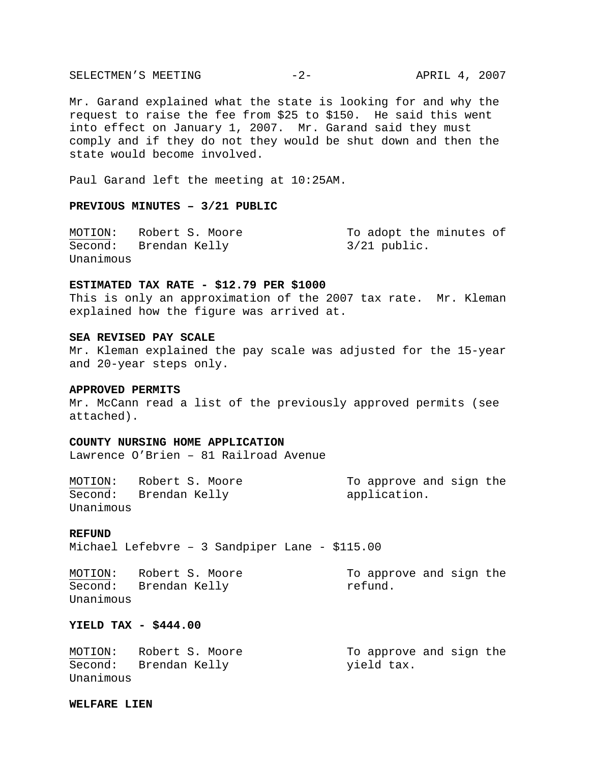SELECTMEN'S MEETING -2- APRIL 4, 2007

Mr. Garand explained what the state is looking for and why the request to raise the fee from \$25 to \$150. He said this went into effect on January 1, 2007. Mr. Garand said they must comply and if they do not they would be shut down and then the state would become involved.

Paul Garand left the meeting at 10:25AM.

# **PREVIOUS MINUTES – 3/21 PUBLIC**

MOTION: Robert S. Moore To adopt the minutes of Second: Brendan Kelly 1997 3/21 public. Unanimous

## **ESTIMATED TAX RATE - \$12.79 PER \$1000**

This is only an approximation of the 2007 tax rate. Mr. Kleman explained how the figure was arrived at.

#### **SEA REVISED PAY SCALE**

Mr. Kleman explained the pay scale was adjusted for the 15-year and 20-year steps only.

## **APPROVED PERMITS**

Mr. McCann read a list of the previously approved permits (see attached).

## **COUNTY NURSING HOME APPLICATION**

Lawrence O'Brien – 81 Railroad Avenue

MOTION: Robert S. Moore To approve and sign the Second: Brendan Kelly application. Unanimous

#### **REFUND**

Michael Lefebvre – 3 Sandpiper Lane - \$115.00

MOTION: Robert S. Moore To approve and sign the Second: Brendan Kelly metund. Unanimous

# **YIELD TAX - \$444.00**

| MOTION:   | Robert S. Moore       | To approve and sign the |  |  |
|-----------|-----------------------|-------------------------|--|--|
|           | Second: Brendan Kelly | yield tax.              |  |  |
| Unanimous |                       |                         |  |  |

### **WELFARE LIEN**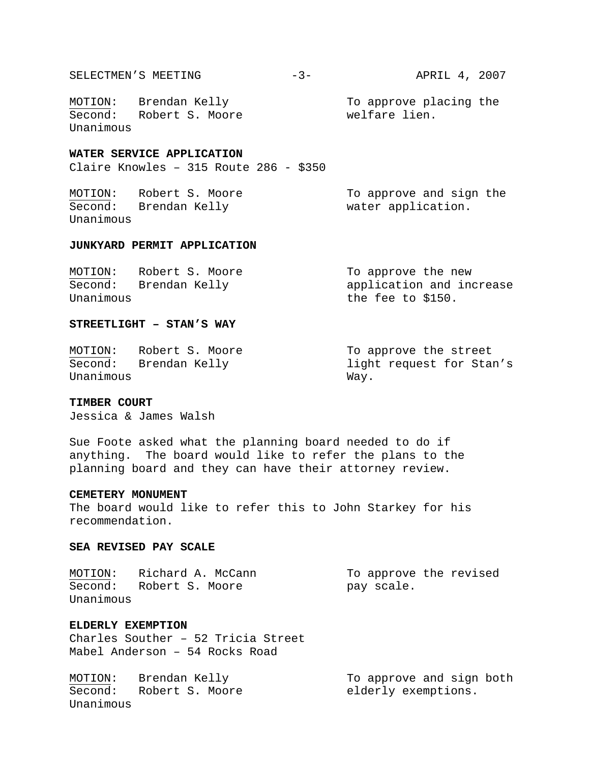| SELECTMEN'S MEETING |  |
|---------------------|--|
|---------------------|--|

Second: Robert S. Moore welfare lien. Unanimous

MOTION: Brendan Kelly To approve placing the

## **WATER SERVICE APPLICATION**

Claire Knowles – 315 Route 286 - \$350

MOTION: Robert S. Moore To approve and sign the Second: Brendan Kelly water application. Unanimous

# **JUNKYARD PERMIT APPLICATION**

| MOTION:   | Robert S. Moore | To approve the new       |
|-----------|-----------------|--------------------------|
| Second:   | Brendan Kelly   | application and increase |
| Unanimous |                 | the fee to $$150.$       |

## **STREETLIGHT – STAN'S WAY**

MOTION: Robert S. Moore To approve the street Second: Brendan Kelly **Example 2** light request for Stan's Unanimous Way.

## **TIMBER COURT**

Jessica & James Walsh

Sue Foote asked what the planning board needed to do if anything. The board would like to refer the plans to the planning board and they can have their attorney review.

## **CEMETERY MONUMENT**

The board would like to refer this to John Starkey for his recommendation.

### **SEA REVISED PAY SCALE**

MOTION: Richard A. McCann To approve the revised Second: Robert S. Moore **pay scale.** Unanimous

# **ELDERLY EXEMPTION**

Charles Souther – 52 Tricia Street Mabel Anderson – 54 Rocks Road

MOTION: Brendan Kelly To approve and sign both Second: Robert S. Moore elderly exemptions. Unanimous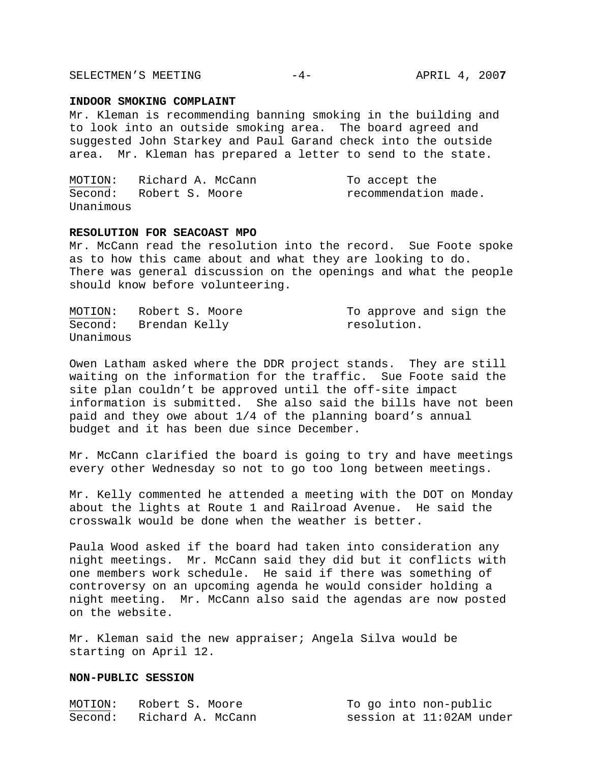SELECTMEN'S MEETING  $-4-$  APRIL 4, 2007

### **INDOOR SMOKING COMPLAINT**

Mr. Kleman is recommending banning smoking in the building and to look into an outside smoking area. The board agreed and suggested John Starkey and Paul Garand check into the outside area. Mr. Kleman has prepared a letter to send to the state.

|           | MOTION: Richard A. McCann | To accept the        |
|-----------|---------------------------|----------------------|
|           | Second: Robert S. Moore   | recommendation made. |
| Unanimous |                           |                      |

## **RESOLUTION FOR SEACOAST MPO**

Mr. McCann read the resolution into the record. Sue Foote spoke as to how this came about and what they are looking to do. There was general discussion on the openings and what the people should know before volunteering.

| MOTION:   | Robert S. Moore       | To approve and sign the |  |  |
|-----------|-----------------------|-------------------------|--|--|
|           | Second: Brendan Kelly | resolution.             |  |  |
| Unanimous |                       |                         |  |  |

Owen Latham asked where the DDR project stands. They are still waiting on the information for the traffic. Sue Foote said the site plan couldn't be approved until the off-site impact information is submitted. She also said the bills have not been paid and they owe about 1/4 of the planning board's annual budget and it has been due since December.

Mr. McCann clarified the board is going to try and have meetings every other Wednesday so not to go too long between meetings.

Mr. Kelly commented he attended a meeting with the DOT on Monday about the lights at Route 1 and Railroad Avenue. He said the crosswalk would be done when the weather is better.

Paula Wood asked if the board had taken into consideration any night meetings. Mr. McCann said they did but it conflicts with one members work schedule. He said if there was something of controversy on an upcoming agenda he would consider holding a night meeting. Mr. McCann also said the agendas are now posted on the website.

Mr. Kleman said the new appraiser; Angela Silva would be starting on April 12.

# **NON-PUBLIC SESSION**

| MOTION: | Robert S. Moore   | To go into non-public    |
|---------|-------------------|--------------------------|
| Second: | Richard A. McCann | session at 11:02AM under |